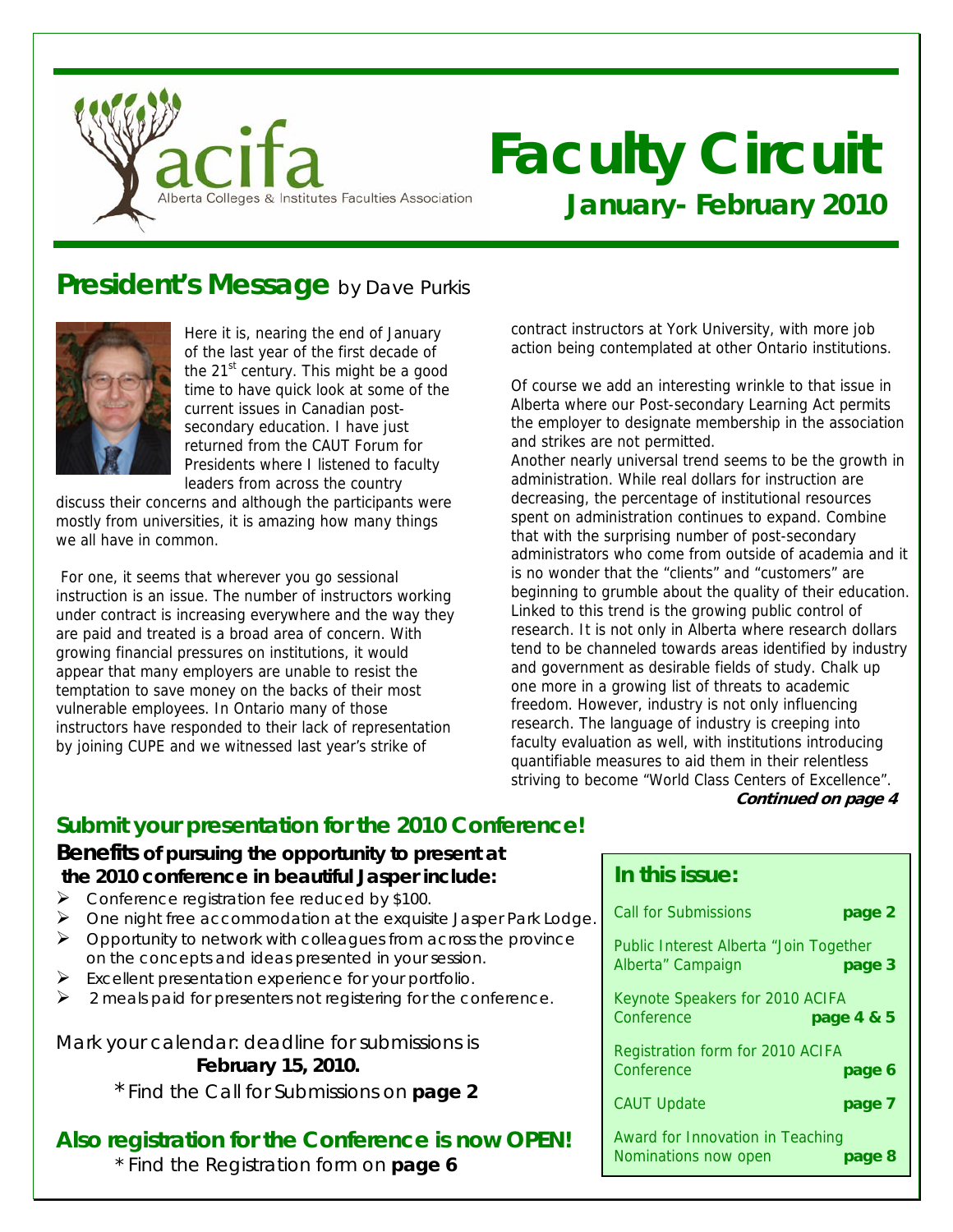

# **Faculty Circuit January- February 2010**

## **President's Message** by Dave Purkis



Here it is, nearing the end of January of the last year of the first decade of the  $21<sup>st</sup>$  century. This might be a good time to have quick look at some of the current issues in Canadian postsecondary education. I have just returned from the CAUT Forum for Presidents where I listened to faculty leaders from across the country

discuss their concerns and although the participants were mostly from universities, it is amazing how many things we all have in common.

 For one, it seems that wherever you go sessional instruction is an issue. The number of instructors working under contract is increasing everywhere and the way they are paid and treated is a broad area of concern. With growing financial pressures on institutions, it would appear that many employers are unable to resist the temptation to save money on the backs of their most vulnerable employees. In Ontario many of those instructors have responded to their lack of representation by joining CUPE and we witnessed last year's strike of

contract instructors at York University, with more job action being contemplated at other Ontario institutions.

Of course we add an interesting wrinkle to that issue in Alberta where our Post-secondary Learning Act permits the employer to designate membership in the association and strikes are not permitted.

Another nearly universal trend seems to be the growth in administration. While real dollars for instruction are decreasing, the percentage of institutional resources spent on administration continues to expand. Combine that with the surprising number of post-secondary administrators who come from outside of academia and it is no wonder that the "clients" and "customers" are beginning to grumble about the quality of their education. Linked to this trend is the growing public control of research. It is not only in Alberta where research dollars tend to be channeled towards areas identified by industry and government as desirable fields of study. Chalk up one more in a growing list of threats to academic freedom. However, industry is not only influencing research. The language of industry is creeping into faculty evaluation as well, with institutions introducing quantifiable measures to aid them in their relentless striving to become "World Class Centers of Excellence".  **Continued on page 4** 

## **Submit your presentation for the 2010 Conference!**

## **Benefits of pursuing the opportunity to present at the 2010 conference in beautiful Jasper include:**

- Conference registration fee reduced by \$100.
- $\triangleright$  One night free accommodation at the exquisite Jasper Park Lodge.
- $\triangleright$  Opportunity to network with colleagues from across the province on the concepts and ideas presented in your session.
- $\triangleright$  Excellent presentation experience for your portfolio.
- 2 meals paid for presenters not registering for the conference.

Mark your calendar: deadline for submissions is **February 15, 2010.**

\* Find the Call for Submissions on **page 2** 

## **Also registration for the Conference is now OPEN!**

\* Find the Registration form on **page 6**

### **In this issue:**

| <b>Call for Submissions</b><br>page 2                                 |
|-----------------------------------------------------------------------|
| Public Interest Alberta "Join Together<br>Alberta" Campaign<br>page 3 |
| Keynote Speakers for 2010 ACIFA<br>Conference<br>page 4 & 5           |
| Registration form for 2010 ACIFA<br>Conference<br>page 6              |
| <b>CAUT Update</b><br>page 7                                          |
| Award for Innovation in Teaching<br>Nominations now open<br>page 8    |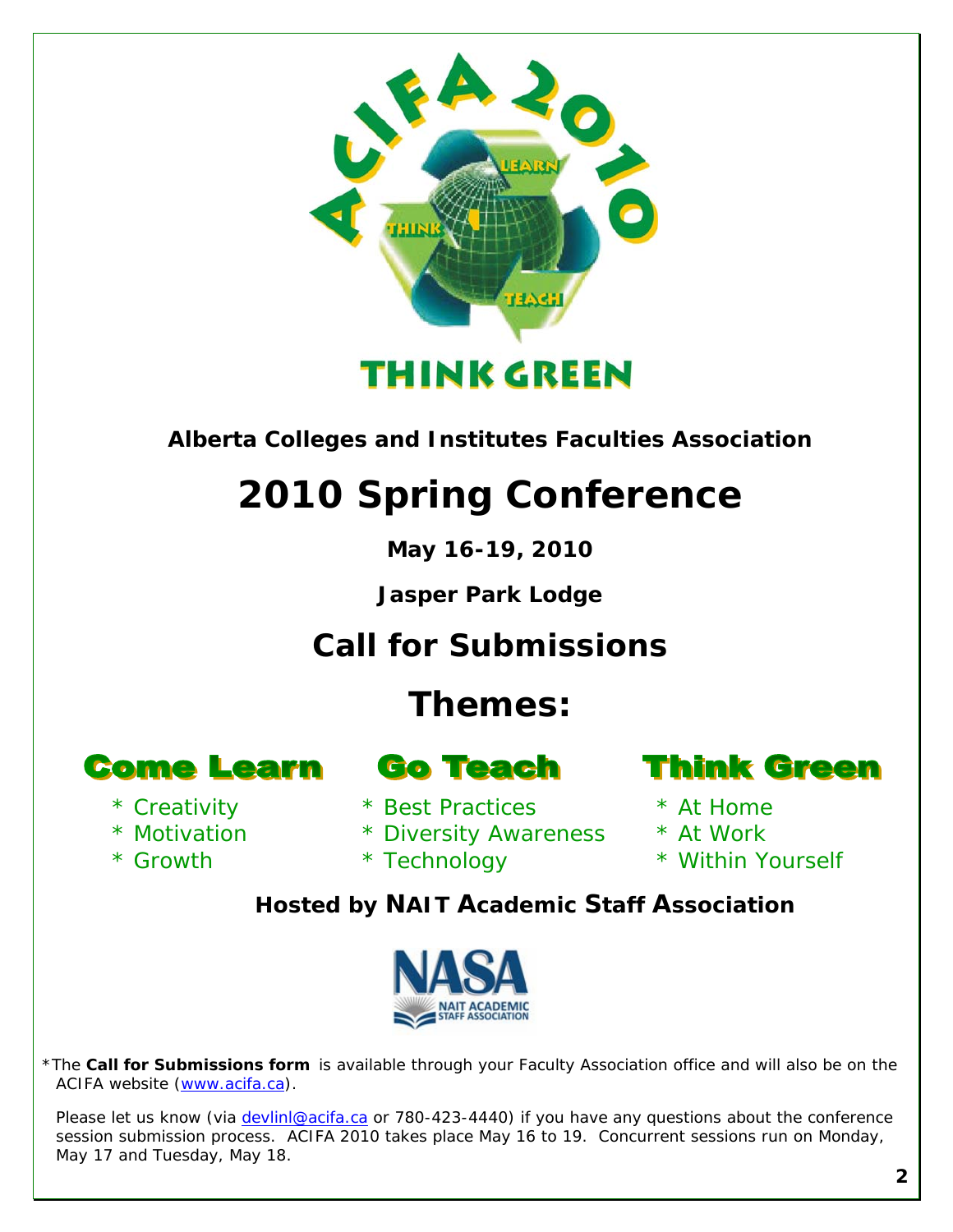

*Alberta Colleges and Institutes Faculties Association* 

# **2010 Spring Conference**

**May 16-19, 2010** 

**Jasper Park Lodge** 

*Call for Submissions* 

# **Themes:**

**Come Learn** 

- \* Creativity
- \* Motivation
- \* Growth
- **Go Teach**
- \* Best Practices
- \* Diversity Awareness
- \* Technology



- \* At Home
- \* At Work
- \* Within Yourself

*Hosted by NAIT Academic Staff Association* 



\*The **Call for Submissions form** is available through your Faculty Association office and will also be on the ACIFA website [\(www.acifa.ca\)](http://www.acifa.ca/).

Please let us know (via *devlinl@acifa.ca* or 780-423-4440) if you have any questions about the conference session submission process. ACIFA 2010 takes place May 16 to 19. Concurrent sessions run on Monday, May 17 and Tuesday, May 18.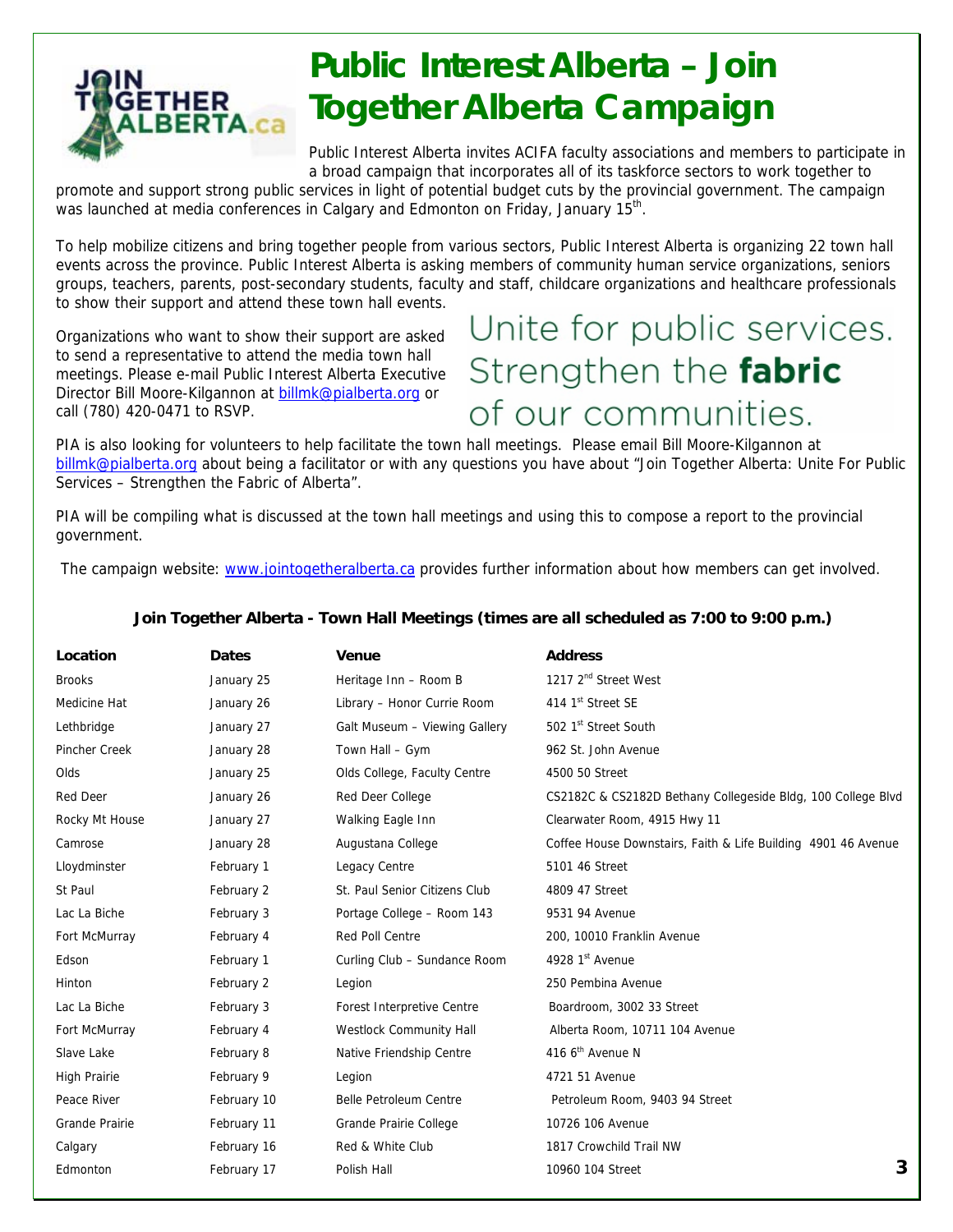

# **Public Interest Alberta – Join Together Alberta Campaign**

Public Interest Alberta invites ACIFA faculty associations and members to participate in a broad campaign that incorporates all of its taskforce sectors to work together to

promote and support strong public services in light of potential budget cuts by the provincial government. The campaign was launched at media conferences in Calgary and Edmonton on Friday, January 15<sup>th</sup>.

To help mobilize citizens and bring together people from various sectors, Public Interest Alberta is organizing 22 town hall events across the province. Public Interest Alberta is asking members of community human service organizations, seniors groups, teachers, parents, post-secondary students, faculty and staff, childcare organizations and healthcare professionals to show their support and attend these town hall events.

Organizations who want to show their support are asked to send a representative to attend the media town hall meetings. Please e-mail Public Interest Alberta Executive Director Bill Moore-Kilgannon at [billmk@pialberta.org](mailto:billmk@pialberta.org) or call (780) 420-0471 to RSVP.

# Unite for public services. Strengthen the fabric of our communities.

PIA is also looking for volunteers to help facilitate the town hall meetings. Please email Bill Moore-Kilgannon at [billmk@pialberta.org](mailto:billmk@pialberta.org) about being a facilitator or with any questions you have about "Join Together Alberta: Unite For Public Services – Strengthen the Fabric of Alberta".

PIA will be compiling what is discussed at the town hall meetings and using this to compose a report to the provincial government.

The campaign website: [www.jointogetheralberta.ca](http://www.jointogetheralberta.ca/) provides further information about how members can get involved.

| Location            | <b>Dates</b> | <b>Venue</b>                  | <b>Address</b>                                                |
|---------------------|--------------|-------------------------------|---------------------------------------------------------------|
| <b>Brooks</b>       | January 25   | Heritage Inn - Room B         | 1217 2 <sup>nd</sup> Street West                              |
| Medicine Hat        | January 26   | Library - Honor Currie Room   | 414 1 <sup>st</sup> Street SE                                 |
| Lethbridge          | January 27   | Galt Museum - Viewing Gallery | 502 1st Street South                                          |
| Pincher Creek       | January 28   | Town Hall - Gym               | 962 St. John Avenue                                           |
| Olds                | January 25   | Olds College, Faculty Centre  | 4500 50 Street                                                |
| <b>Red Deer</b>     | January 26   | Red Deer College              | CS2182C & CS2182D Bethany Collegeside Bldg, 100 College Blvd  |
| Rocky Mt House      | January 27   | Walking Eagle Inn             | Clearwater Room, 4915 Hwy 11                                  |
| Camrose             | January 28   | Augustana College             | Coffee House Downstairs, Faith & Life Building 4901 46 Avenue |
| Lloydminster        | February 1   | Legacy Centre                 | 5101 46 Street                                                |
| St Paul             | February 2   | St. Paul Senior Citizens Club | 4809 47 Street                                                |
| Lac La Biche        | February 3   | Portage College - Room 143    | 9531 94 Avenue                                                |
| Fort McMurray       | February 4   | Red Poll Centre               | 200, 10010 Franklin Avenue                                    |
| Edson               | February 1   | Curling Club - Sundance Room  | 4928 1st Avenue                                               |
| Hinton              | February 2   | Legion                        | 250 Pembina Avenue                                            |
| Lac La Biche        | February 3   | Forest Interpretive Centre    | Boardroom, 3002 33 Street                                     |
| Fort McMurray       | February 4   | Westlock Community Hall       | Alberta Room, 10711 104 Avenue                                |
| Slave Lake          | February 8   | Native Friendship Centre      | 416 6 <sup>th</sup> Avenue N                                  |
| <b>High Prairie</b> | February 9   | Legion                        | 4721 51 Avenue                                                |
| Peace River         | February 10  | Belle Petroleum Centre        | Petroleum Room, 9403 94 Street                                |
| Grande Prairie      | February 11  | Grande Prairie College        | 10726 106 Avenue                                              |
| Calgary             | February 16  | Red & White Club              | 1817 Crowchild Trail NW                                       |
| Edmonton            | February 17  | Polish Hall                   | 3<br>10960 104 Street                                         |
|                     |              |                               |                                                               |

#### **Join Together Alberta - Town Hall Meetings (times are all scheduled as 7:00 to 9:00 p.m.)**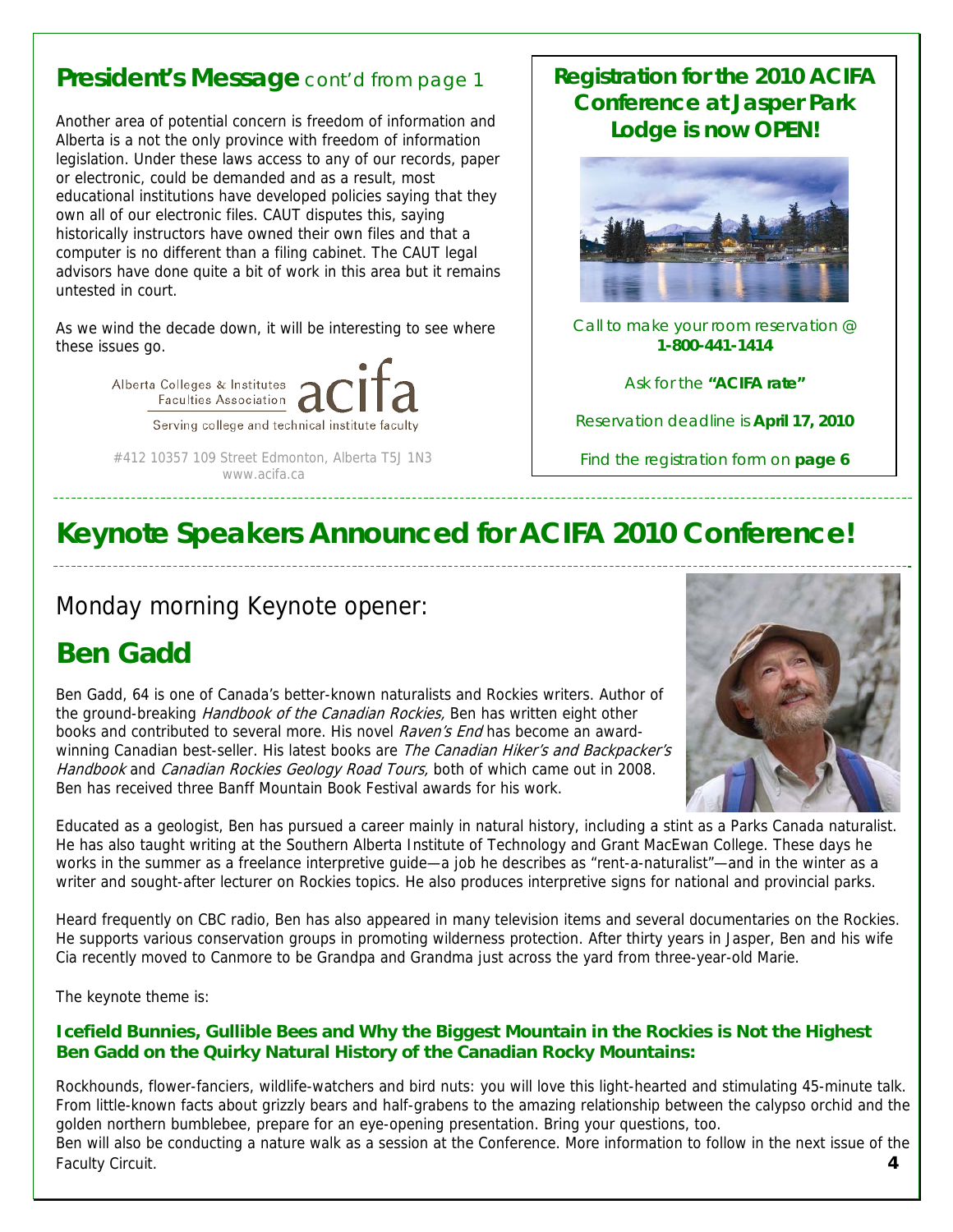## **President's Message** cont'd from page 1

Another area of potential concern is freedom of information and Alberta is a not the only province with freedom of information legislation. Under these laws access to any of our records, paper or electronic, could be demanded and as a result, most educational institutions have developed policies saying that they own all of our electronic files. CAUT disputes this, saying historically instructors have owned their own files and that a computer is no different than a filing cabinet. The CAUT legal advisors have done quite a bit of work in this area but it remains untested in court.

As we wind the decade down, it will be interesting to see where these issues go.



 #412 10357 109 Street Edmonton, Alberta T5J 1N3 www.acifa.ca

## **Registration for the 2010 ACIFA Conference at Jasper Park Lodge is now OPEN!**



Call to make your room reservation @ **1-800-441-1414** 

Ask for the **"ACIFA rate"**

Reservation deadline is **April 17, 2010**

Find the registration form on **page 6** 

## **Keynote Speakers Announced for ACIFA 2010 Conference!**

## Monday morning Keynote opener:

## **Ben Gadd**

Ben Gadd, 64 is one of Canada's better-known naturalists and Rockies writers. Author of the ground-breaking *Handbook of the Canadian Rockies*, Ben has written eight other books and contributed to several more. His novel Raven's End has become an awardwinning Canadian best-seller. His latest books are The Canadian Hiker's and Backpacker's Handbook and Canadian Rockies Geology Road Tours, both of which came out in 2008. Ben has received three Banff Mountain Book Festival awards for his work.



Educated as a geologist, Ben has pursued a career mainly in natural history, including a stint as a Parks Canada naturalist. He has also taught writing at the Southern Alberta Institute of Technology and Grant MacEwan College. These days he works in the summer as a freelance interpretive guide—a job he describes as "rent-a-naturalist"—and in the winter as a writer and sought-after lecturer on Rockies topics. He also produces interpretive signs for national and provincial parks.

Heard frequently on CBC radio, Ben has also appeared in many television items and several documentaries on the Rockies. He supports various conservation groups in promoting wilderness protection. After thirty years in Jasper, Ben and his wife Cia recently moved to Canmore to be Grandpa and Grandma just across the yard from three-year-old Marie.

The keynote theme is:

#### **Icefield Bunnies, Gullible Bees and Why the Biggest Mountain in the Rockies is Not the Highest Ben Gadd on the Quirky Natural History of the Canadian Rocky Mountains:**

Rockhounds, flower-fanciers, wildlife-watchers and bird nuts: you will love this light-hearted and stimulating 45-minute talk. From little-known facts about grizzly bears and half-grabens to the amazing relationship between the calypso orchid and the golden northern bumblebee, prepare for an eye-opening presentation. Bring your questions, too. Ben will also be conducting a nature walk as a session at the Conference. More information to follow in the next issue of the **Faculty Circuit.**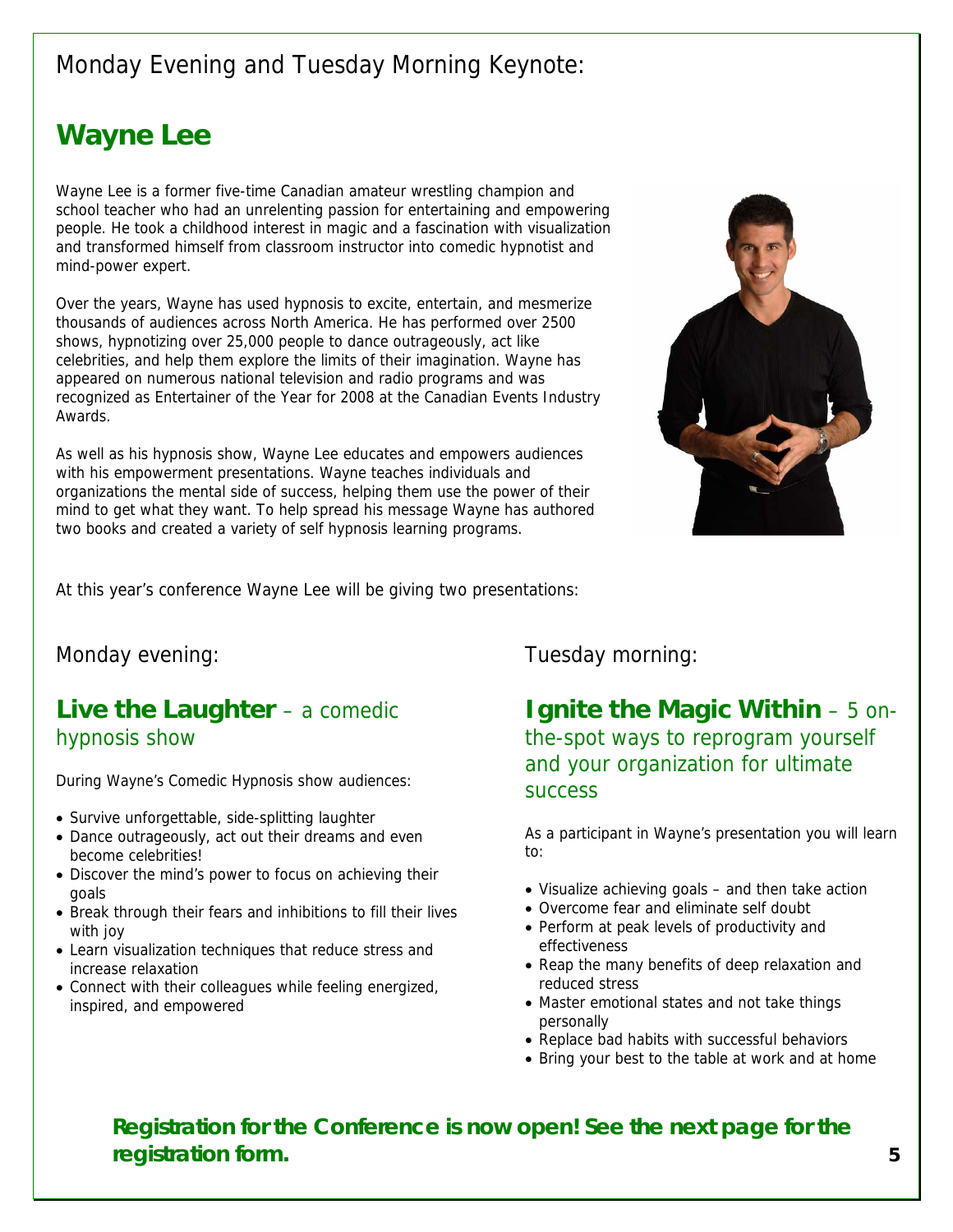## Monday Evening and Tuesday Morning Keynote:

## **Wayne Lee**

Wayne Lee is a former five-time Canadian amateur wrestling champion and school teacher who had an unrelenting passion for entertaining and empowering people. He took a childhood interest in magic and a fascination with visualization and transformed himself from classroom instructor into comedic hypnotist and mind-power expert.

Over the years, Wayne has used hypnosis to excite, entertain, and mesmerize thousands of audiences across North America. He has performed over 2500 shows, hypnotizing over 25,000 people to dance outrageously, act like celebrities, and help them explore the limits of their imagination. Wayne has appeared on numerous national television and radio programs and was recognized as Entertainer of the Year for 2008 at the Canadian Events Industry Awards.

As well as his hypnosis show, Wayne Lee educates and empowers audiences with his empowerment presentations. Wayne teaches individuals and organizations the mental side of success, helping them use the power of their mind to get what they want. To help spread his message Wayne has authored two books and created a variety of self hypnosis learning programs.



At this year's conference Wayne Lee will be giving two presentations:

## **Live the Laughter** – a comedic hypnosis show

During Wayne's Comedic Hypnosis show audiences:<br>SUCCESS

- Survive unforgettable, side-splitting laughter
- Dance outrageously, act out their dreams and even exercise to:<br>to: become celebrities!
- Discover the mind's power to focus on achieving their goals<br> **goals** – and then take action<br>
Rreak through their fears and inhibitions to fill their lives • Overcome fear and eliminate self doubt
- Break through their fears and inhibitions to fill their lives
- Learn visualization techniques that reduce stress and
- $\bullet$  Connect with their colleagues while feeling energized, inspired, and empowered

Monday evening: Tuesday morning:

**Ignite the Magic Within** – 5 onthe-spot ways to reprogram yourself and your organization for ultimate

As a participant in Wayne's presentation you will learn

- 
- 
- with joy<br>Learn visualization techniques that reduce stress and<br>Learn visualization techniques that reduce stress and<br>effectiveness
- increase relaxation<br>
Connect with their colleagues while feeling energized<br>
Connect with their colleagues while feeling energized<br>
reduced stress
	- personally
	- Replace bad habits with successful behaviors
	- Bring your best to the table at work and at home

**Registration for the Conference is now open! See the next page for the registration form. 5**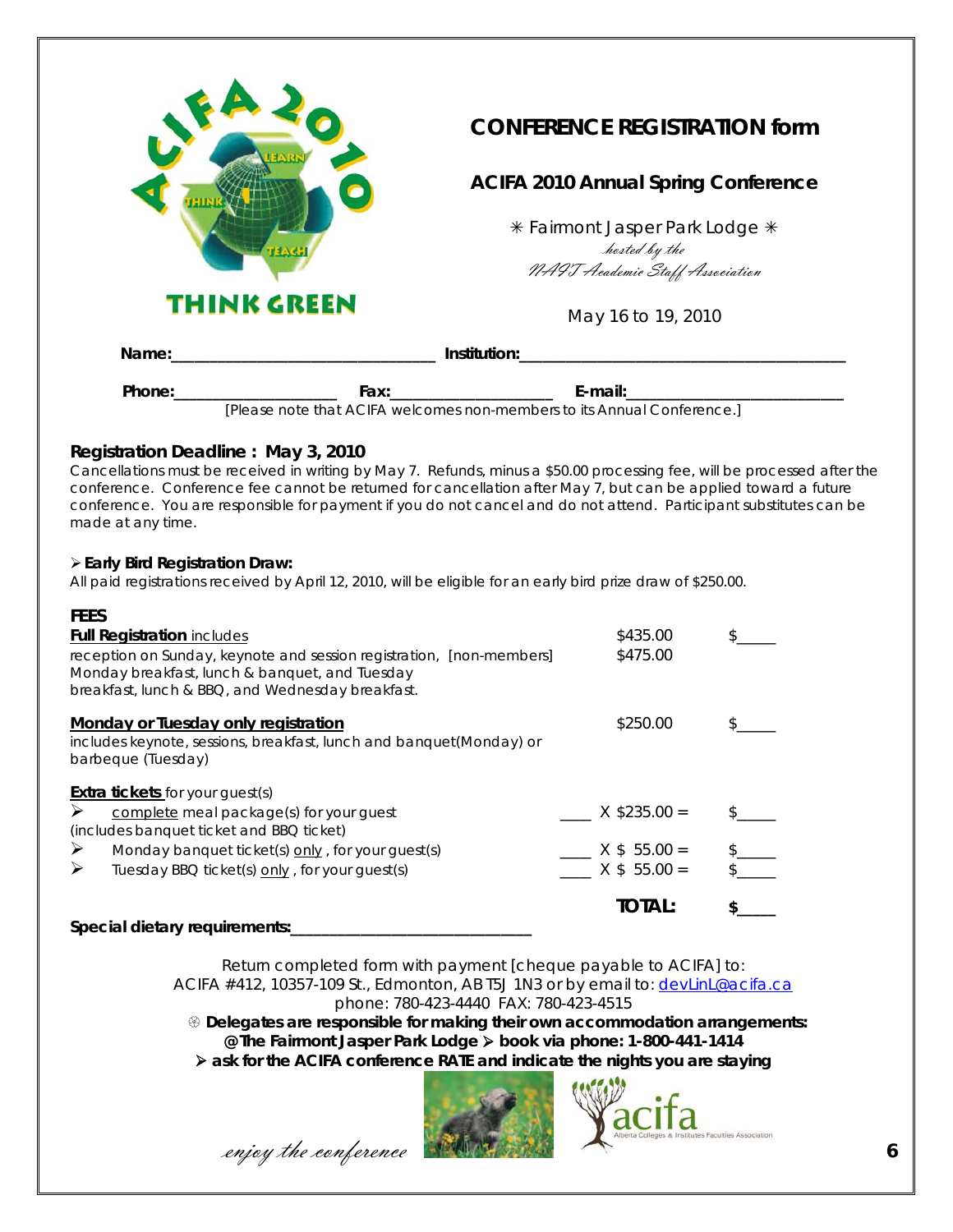

## **CONFERENCE REGISTRATION form**

## **ACIFA 2010 Annual Spring Conference**

\* Fairmont Jasper Park Lodge \* hosted by the NAIT Academic Staff Association

May 16 to 19, 2010

| Name:  |                                                                         | Institution: |  |
|--------|-------------------------------------------------------------------------|--------------|--|
| Phone: | Fax:                                                                    | E-mail:      |  |
|        | [Please note that ACIFA welcomes non-members to its Annual Conference.] |              |  |

#### **Registration Deadline : May 3, 2010**

Cancellations must be received in writing by May 7. Refunds, minus a \$50.00 processing fee, will be processed after the conference. Conference fee cannot be returned for cancellation after May 7, but can be applied toward a future conference. You are responsible for payment if you do not cancel and do not attend. Participant substitutes can be made at any time.

#### **Early Bird Registration Draw:**

All paid registrations received by April 12, 2010, will be eligible for an early bird prize draw of \$250.00.

| <b>FEES</b>                                                                                                                                                                |                |  |
|----------------------------------------------------------------------------------------------------------------------------------------------------------------------------|----------------|--|
| <b>Full Registration includes</b>                                                                                                                                          | \$435.00       |  |
| reception on Sunday, keynote and session registration, [non-members]<br>Monday breakfast, lunch & banquet, and Tuesday<br>breakfast, lunch & BBQ, and Wednesday breakfast. | \$475.00       |  |
| Monday or Tuesday only registration<br>includes keynote, sessions, breakfast, lunch and banquet(Monday) or<br>barbeque (Tuesday)                                           | \$250.00       |  |
| <b>Extra tickets</b> for your guest(s)                                                                                                                                     |                |  |
| ➤<br>complete meal package(s) for your guest<br>(includes banquet ticket and BBQ ticket)                                                                                   | $X$ \$235.00 = |  |
| ➤<br>Monday banquet ticket(s) only, for your guest(s)                                                                                                                      | $X$ \$ 55.00 = |  |
| ⋗<br>Tuesday BBQ ticket(s) only, for your guest(s)                                                                                                                         | $X$ \$ 55.00 = |  |
|                                                                                                                                                                            | <b>TOTAL:</b>  |  |
| Special dietary requirements:                                                                                                                                              |                |  |

Return completed form with payment [cheque payable to ACIFA] to: ACIFA #412, 10357-109 St., Edmonton, AB T5J 1N3 or by email to: devlinL@acifa.ca phone: 780-423-4440 FAX: 780-423-4515

 **Delegates are responsible for making their own accommodation arrangements: @ The Fairmont Jasper Park Lodge book via phone: 1-800-441-1414 ask for the ACIFA conference RATE and indicate the nights you are staying** 



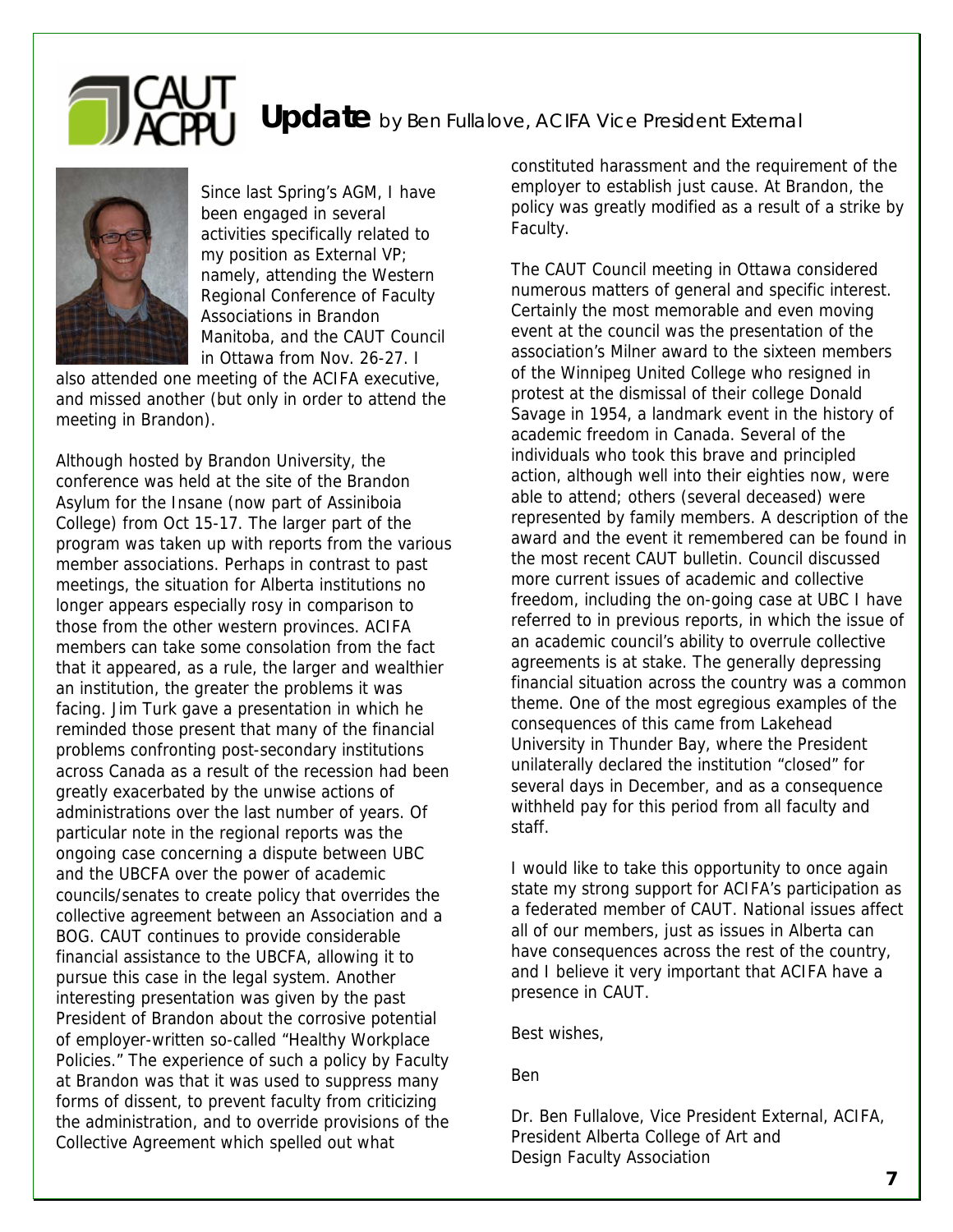# Update by Ben Fullalove, ACIFA Vice President External



Since last Spring's AGM, I have been engaged in several activities specifically related to my position as External VP; namely, attending the Western Regional Conference of Faculty Associations in Brandon Manitoba, and the CAUT Council in Ottawa from Nov. 26-27. I

also attended one meeting of the ACIFA executive, and missed another (but only in order to attend the meeting in Brandon).

Although hosted by Brandon University, the conference was held at the site of the Brandon Asylum for the Insane (now part of Assiniboia College) from Oct 15-17. The larger part of the program was taken up with reports from the various member associations. Perhaps in contrast to past meetings, the situation for Alberta institutions no longer appears especially rosy in comparison to those from the other western provinces. ACIFA members can take some consolation from the fact that it appeared, as a rule, the larger and wealthier an institution, the greater the problems it was facing. Jim Turk gave a presentation in which he reminded those present that many of the financial problems confronting post-secondary institutions across Canada as a result of the recession had been greatly exacerbated by the unwise actions of administrations over the last number of years. Of particular note in the regional reports was the ongoing case concerning a dispute between UBC and the UBCFA over the power of academic councils/senates to create policy that overrides the collective agreement between an Association and a BOG. CAUT continues to provide considerable financial assistance to the UBCFA, allowing it to pursue this case in the legal system. Another interesting presentation was given by the past President of Brandon about the corrosive potential of employer-written so-called "Healthy Workplace Policies." The experience of such a policy by Faculty at Brandon was that it was used to suppress many forms of dissent, to prevent faculty from criticizing the administration, and to override provisions of the Collective Agreement which spelled out what

constituted harassment and the requirement of the employer to establish just cause. At Brandon, the policy was greatly modified as a result of a strike by Faculty.

The CAUT Council meeting in Ottawa considered numerous matters of general and specific interest. Certainly the most memorable and even moving event at the council was the presentation of the association's Milner award to the sixteen members of the Winnipeg United College who resigned in protest at the dismissal of their college Donald Savage in 1954, a landmark event in the history of academic freedom in Canada. Several of the individuals who took this brave and principled action, although well into their eighties now, were able to attend; others (several deceased) were represented by family members. A description of the award and the event it remembered can be found in the most recent CAUT bulletin. Council discussed more current issues of academic and collective freedom, including the on-going case at UBC I have referred to in previous reports, in which the issue of an academic council's ability to overrule collective agreements is at stake. The generally depressing financial situation across the country was a common theme. One of the most egregious examples of the consequences of this came from Lakehead University in Thunder Bay, where the President unilaterally declared the institution "closed" for several days in December, and as a consequence withheld pay for this period from all faculty and staff.

I would like to take this opportunity to once again state my strong support for ACIFA's participation as a federated member of CAUT. National issues affect all of our members, just as issues in Alberta can have consequences across the rest of the country, and I believe it very important that ACIFA have a presence in CAUT.

Best wishes,

Ben

Dr. Ben Fullalove, Vice President External, ACIFA, President Alberta College of Art and Design Faculty Association